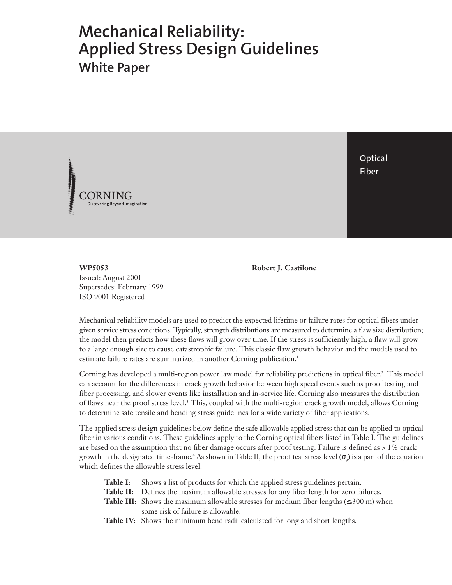# **Mechanical Reliability: Applied Stress Design Guidelines White Paper**



**Optical** Fiber

**WP5053** Issued: August 2001 Supersedes: February 1999 ISO 9001 Registered

**Robert J. Castilone**

Mechanical reliability models are used to predict the expected lifetime or failure rates for optical fibers under given service stress conditions. Typically, strength distributions are measured to determine a flaw size distribution; the model then predicts how these flaws will grow over time. If the stress is sufficiently high, a flaw will grow to a large enough size to cause catastrophic failure. This classic flaw growth behavior and the models used to estimate failure rates are summarized in another Corning publication.<sup>1</sup>

Corning has developed a multi-region power law model for reliability predictions in optical fiber.<sup>2</sup> This model can account for the differences in crack growth behavior between high speed events such as proof testing and fiber processing, and slower events like installation and in-service life. Corning also measures the distribution of flaws near the proof stress level.<sup>3</sup> This, coupled with the multi-region crack growth model, allows Corning to determine safe tensile and bending stress guidelines for a wide variety of fiber applications.

The applied stress design guidelines below define the safe allowable applied stress that can be applied to optical fiber in various conditions. These guidelines apply to the Corning optical fibers listed in Table I. The guidelines are based on the assumption that no fiber damage occurs after proof testing. Failure is defined as > 1% crack growth in the designated time-frame.<sup>4</sup> As shown in Table II, the proof test stress level ( $\sigma_p$ ) is a part of the equation which defines the allowable stress level.

- **Table I:** Shows a list of products for which the applied stress guidelines pertain.
- **Table II:** Defines the maximum allowable stresses for any fiber length for zero failures.
- **Table III:** Shows the maximum allowable stresses for medium fiber lengths ( $\leq 300$  m) when some risk of failure is allowable.
- **Table IV:** Shows the minimum bend radii calculated for long and short lengths.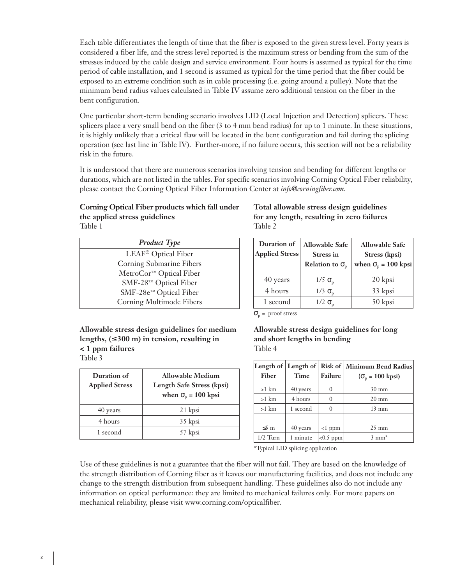Each table differentiates the length of time that the fiber is exposed to the given stress level. Forty years is considered a fiber life, and the stress level reported is the maximum stress or bending from the sum of the stresses induced by the cable design and service environment. Four hours is assumed as typical for the time period of cable installation, and 1 second is assumed as typical for the time period that the fiber could be exposed to an extreme condition such as in cable processing (i.e. going around a pulley). Note that the minimum bend radius values calculated in Table IV assume zero additional tension on the fiber in the bent configuration.

One particular short-term bending scenario involves LID (Local Injection and Detection) splicers. These splicers place a very small bend on the fiber (3 to 4 mm bend radius) for up to 1 minute. In these situations, it is highly unlikely that a critical flaw will be located in the bent configuration and fail during the splicing operation (see last line in Table IV). Further-more, if no failure occurs, this section will not be a reliability risk in the future.

It is understood that there are numerous scenarios involving tension and bending for different lengths or durations, which are not listed in the tables. For specific scenarios involving Corning Optical Fiber reliability, please contact the Corning Optical Fiber Information Center at *info@corningfiber.com*.

### **Corning Optical Fiber products which fall under the applied stress guidelines** Table 1

| <b>Product Type</b>             |  |
|---------------------------------|--|
| LEAF <sup>®</sup> Optical Fiber |  |
| Corning Submarine Fibers        |  |
| MetroCor™ Optical Fiber         |  |
| SMF-28™ Optical Fiber           |  |
| SMF-28e™ Optical Fiber          |  |
| Corning Multimode Fibers        |  |
|                                 |  |

## **Total allowable stress design guidelines for any length, resulting in zero failures** Table 2

| Duration of<br><b>Applied Stress</b> | <b>Allowable Safe</b><br><b>Stress in</b><br>Relation to $\sigma_{p}$ | <b>Allowable Safe</b><br>Stress (kpsi)<br>when $\sigma_{p}$ = 100 kpsi |
|--------------------------------------|-----------------------------------------------------------------------|------------------------------------------------------------------------|
| 40 years                             | $1/5 \sigma_{\rm p}$                                                  | 20 kpsi                                                                |
| 4 hours                              | $1/3$ $\sigma_{\rm n}$                                                | 33 kpsi                                                                |
| 1 second                             | $1/2 \sigma_{\rm p}$                                                  | 50 kpsi                                                                |
| $\sigma_{\rm n}$ = proof stress      |                                                                       |                                                                        |

**Allowable stress design guidelines for medium lengths, (**≤ **300 m) in tension, resulting in < 1 ppm failures** Table 3

| Duration of<br><b>Applied Stress</b> | <b>Allowable Medium</b><br>Length Safe Stress (kpsi)<br>when $\sigma_{p}$ = 100 kpsi |
|--------------------------------------|--------------------------------------------------------------------------------------|
| 40 years                             | 21 kpsi                                                                              |
| 4 hours                              | 35 kpsi                                                                              |
| 1 second                             | 57 kpsi                                                                              |

**Allowable stress design guidelines for long and short lengths in bending** Table 4

| Fiber      | Time     | <b>Failure</b> | Length of Length of   Risk of   Minimum Bend Radius<br>$(\sigma_{p} = 100 \text{ kpsi})$ |
|------------|----------|----------------|------------------------------------------------------------------------------------------|
| $>1$ km    | 40 years | $\theta$       | $30 \text{ mm}$                                                                          |
| $>1$ km    | 4 hours  | 0              | $20 \text{ mm}$                                                                          |
| $>1$ km    | 1 second | 0              | $13 \text{ mm}$                                                                          |
|            |          |                |                                                                                          |
| $\leq 5$ m | 40 years | $<1$ ppm       | $25 \text{ mm}$                                                                          |
| $1/2$ Turn | 1 minute | $< 0.5$ ppm    | $3 \text{ mm}^*$                                                                         |

\*Typical LID splicing application

Use of these guidelines is not a guarantee that the fiber will not fail. They are based on the knowledge of the strength distribution of Corning fiber as it leaves our manufacturing facilities, and does not include any change to the strength distribution from subsequent handling. These guidelines also do not include any information on optical performance: they are limited to mechanical failures only. For more papers on mechanical reliability, please visit www.corning.com/opticalfiber.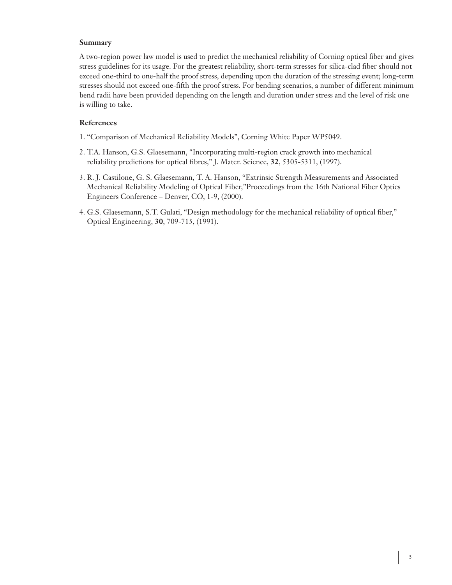## **Summary**

A two-region power law model is used to predict the mechanical reliability of Corning optical fiber and gives stress guidelines for its usage. For the greatest reliability, short-term stresses for silica-clad fiber should not exceed one-third to one-half the proof stress, depending upon the duration of the stressing event; long-term stresses should not exceed one-fifth the proof stress. For bending scenarios, a number of different minimum bend radii have been provided depending on the length and duration under stress and the level of risk one is willing to take.

## **References**

- 1. "Comparison of Mechanical Reliability Models", Corning White Paper WP5049.
- 2. T.A. Hanson, G.S. Glaesemann, "Incorporating multi-region crack growth into mechanical 1. reliability predictions for optical fibres," J. Mater. Science, **32**, 5305-5311, (1997).
- 3. R. J. Castilone, G. S. Glaesemann, T. A. Hanson, "Extrinsic Strength Measurements and Associated 1. Mechanical Reliability Modeling of Optical Fiber,"Proceedings from the 16th National Fiber Optics Engineers Conference – Denver, CO, 1-9, (2000).
- 4. G.S. Glaesemann, S.T. Gulati, "Design methodology for the mechanical reliability of optical fiber," 1. Optical Engineering, **30**, 709-715, (1991).